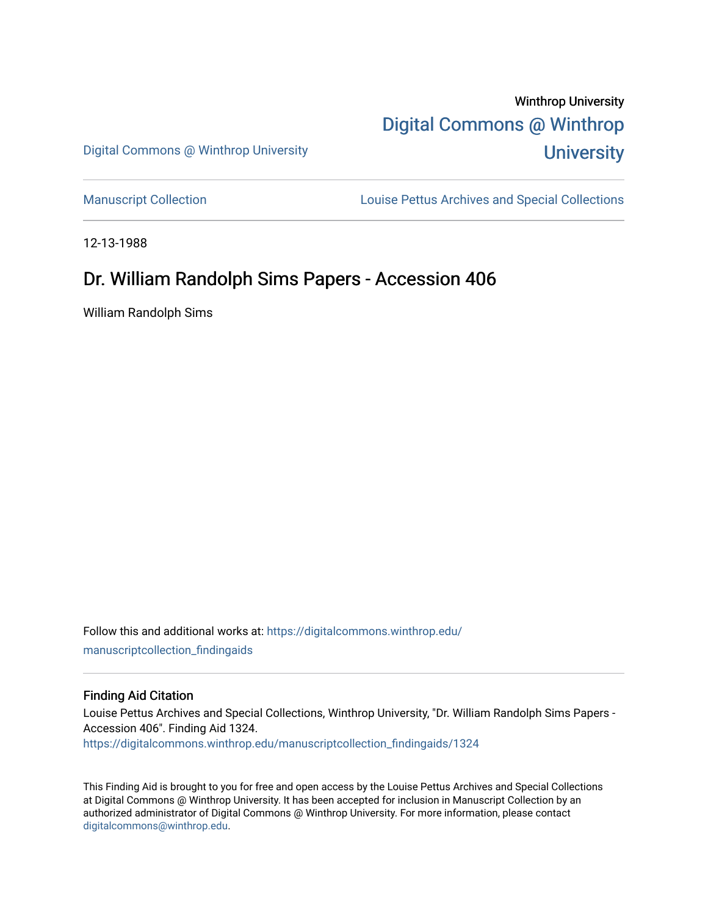# Winthrop University [Digital Commons @ Winthrop](https://digitalcommons.winthrop.edu/)  **University**

Digital Commons @ Winthrop University

[Manuscript Collection](https://digitalcommons.winthrop.edu/manuscriptcollection_findingaids) **Louise Pettus Archives and Special Collections** 

12-13-1988

# Dr. William Randolph Sims Papers - Accession 406

William Randolph Sims

Follow this and additional works at: [https://digitalcommons.winthrop.edu/](https://digitalcommons.winthrop.edu/manuscriptcollection_findingaids?utm_source=digitalcommons.winthrop.edu%2Fmanuscriptcollection_findingaids%2F1324&utm_medium=PDF&utm_campaign=PDFCoverPages) [manuscriptcollection\\_findingaids](https://digitalcommons.winthrop.edu/manuscriptcollection_findingaids?utm_source=digitalcommons.winthrop.edu%2Fmanuscriptcollection_findingaids%2F1324&utm_medium=PDF&utm_campaign=PDFCoverPages) 

#### Finding Aid Citation

Louise Pettus Archives and Special Collections, Winthrop University, "Dr. William Randolph Sims Papers - Accession 406". Finding Aid 1324. [https://digitalcommons.winthrop.edu/manuscriptcollection\\_findingaids/1324](https://digitalcommons.winthrop.edu/manuscriptcollection_findingaids/1324?utm_source=digitalcommons.winthrop.edu%2Fmanuscriptcollection_findingaids%2F1324&utm_medium=PDF&utm_campaign=PDFCoverPages) 

This Finding Aid is brought to you for free and open access by the Louise Pettus Archives and Special Collections at Digital Commons @ Winthrop University. It has been accepted for inclusion in Manuscript Collection by an authorized administrator of Digital Commons @ Winthrop University. For more information, please contact [digitalcommons@winthrop.edu](mailto:digitalcommons@winthrop.edu).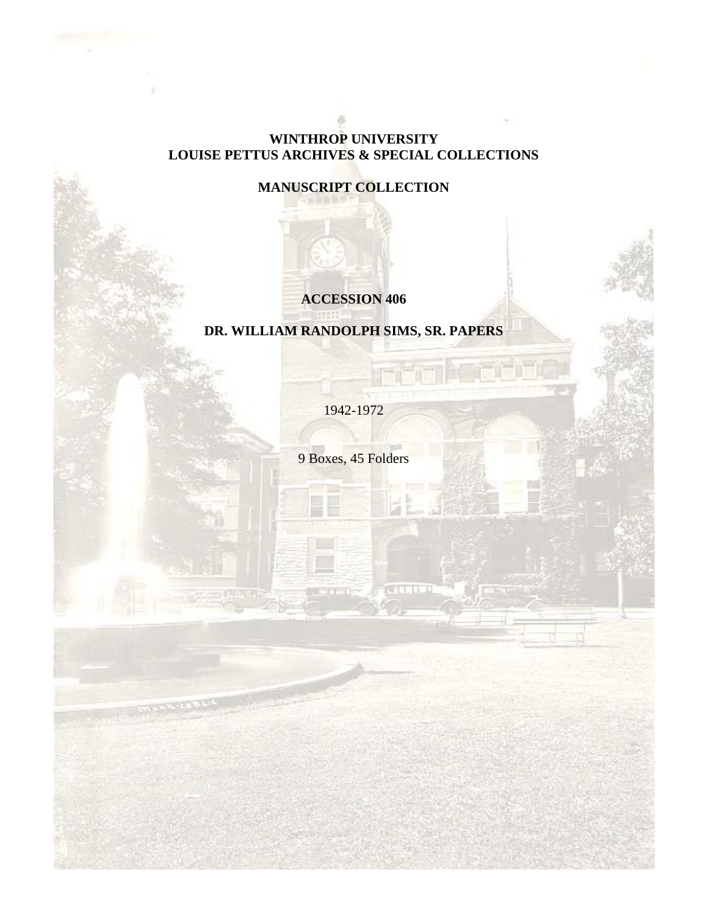### **WINTHROP UNIVERSITY LOUISE PETTUS ARCHIVES & SPECIAL COLLECTIONS**

# **MANUSCRIPT COLLECTION**

# **ACCESSION 406**

# **DR. WILLIAM RANDOLPH SIMS, SR. PAPERS**

1942-1972

9 Boxes, 45 Folders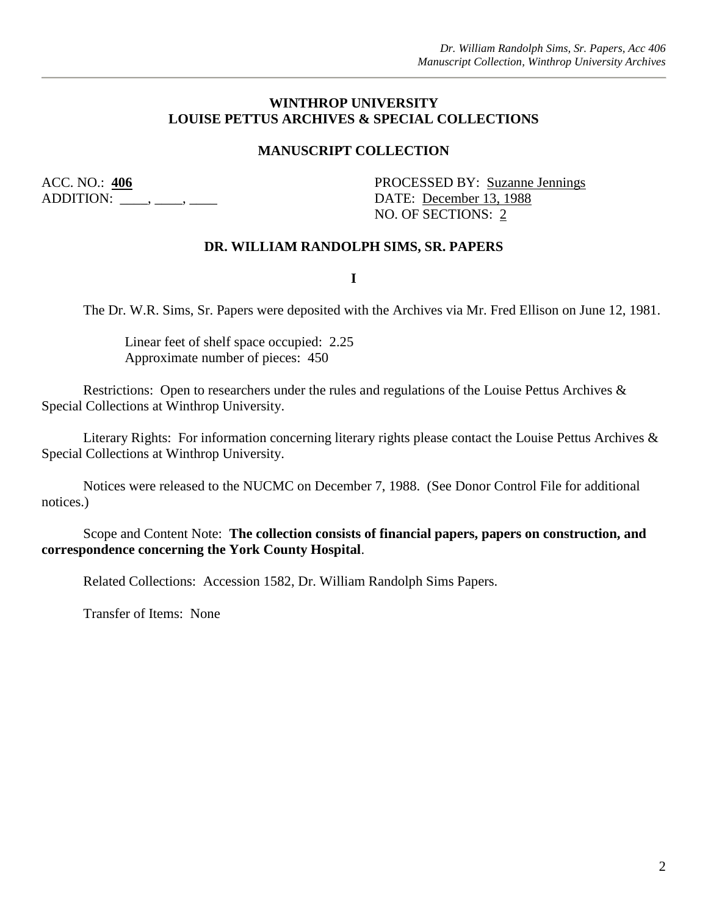#### **WINTHROP UNIVERSITY LOUISE PETTUS ARCHIVES & SPECIAL COLLECTIONS**

#### **MANUSCRIPT COLLECTION**

ADDITION: \_\_\_\_, \_\_\_\_, \_\_\_\_\_, \_\_\_\_\_ DATE: <u>December 13, 1988</u>

ACC. NO.: 406 PROCESSED BY: Suzanne Jennings NO. OF SECTIONS: 2

#### **DR. WILLIAM RANDOLPH SIMS, SR. PAPERS**

**I**

The Dr. W.R. Sims, Sr. Papers were deposited with the Archives via Mr. Fred Ellison on June 12, 1981.

Linear feet of shelf space occupied: 2.25 Approximate number of pieces: 450

Restrictions: Open to researchers under the rules and regulations of the Louise Pettus Archives & Special Collections at Winthrop University.

Literary Rights: For information concerning literary rights please contact the Louise Pettus Archives & Special Collections at Winthrop University.

Notices were released to the NUCMC on December 7, 1988. (See Donor Control File for additional notices.)

Scope and Content Note: **The collection consists of financial papers, papers on construction, and correspondence concerning the York County Hospital**.

Related Collections: Accession 1582, Dr. William Randolph Sims Papers.

Transfer of Items: None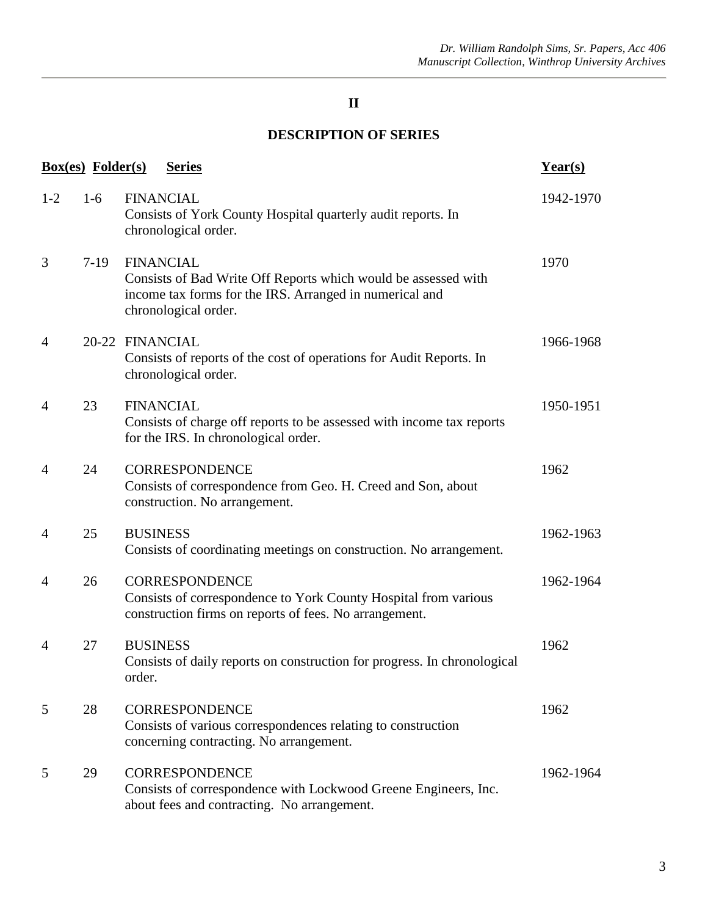## **II**

## **DESCRIPTION OF SERIES**

| <b>Box(es)</b> Folder(s)<br><b>Series</b> |        |                                                                                                                                                                       |           |  |
|-------------------------------------------|--------|-----------------------------------------------------------------------------------------------------------------------------------------------------------------------|-----------|--|
| $1-2$                                     | $1-6$  | <b>FINANCIAL</b><br>Consists of York County Hospital quarterly audit reports. In<br>chronological order.                                                              | 1942-1970 |  |
| 3                                         | $7-19$ | <b>FINANCIAL</b><br>Consists of Bad Write Off Reports which would be assessed with<br>income tax forms for the IRS. Arranged in numerical and<br>chronological order. | 1970      |  |
| 4                                         |        | 20-22 FINANCIAL<br>Consists of reports of the cost of operations for Audit Reports. In<br>chronological order.                                                        | 1966-1968 |  |
| 4                                         | 23     | <b>FINANCIAL</b><br>Consists of charge off reports to be assessed with income tax reports<br>for the IRS. In chronological order.                                     | 1950-1951 |  |
| 4                                         | 24     | <b>CORRESPONDENCE</b><br>Consists of correspondence from Geo. H. Creed and Son, about<br>construction. No arrangement.                                                | 1962      |  |
| 4                                         | 25     | <b>BUSINESS</b><br>Consists of coordinating meetings on construction. No arrangement.                                                                                 | 1962-1963 |  |
| 4                                         | 26     | <b>CORRESPONDENCE</b><br>Consists of correspondence to York County Hospital from various<br>construction firms on reports of fees. No arrangement.                    | 1962-1964 |  |
| 4                                         | 27     | <b>BUSINESS</b><br>Consists of daily reports on construction for progress. In chronological<br>order.                                                                 | 1962      |  |
| 5                                         | 28     | <b>CORRESPONDENCE</b><br>Consists of various correspondences relating to construction<br>concerning contracting. No arrangement.                                      | 1962      |  |
| 5                                         | 29     | <b>CORRESPONDENCE</b><br>Consists of correspondence with Lockwood Greene Engineers, Inc.<br>about fees and contracting. No arrangement.                               | 1962-1964 |  |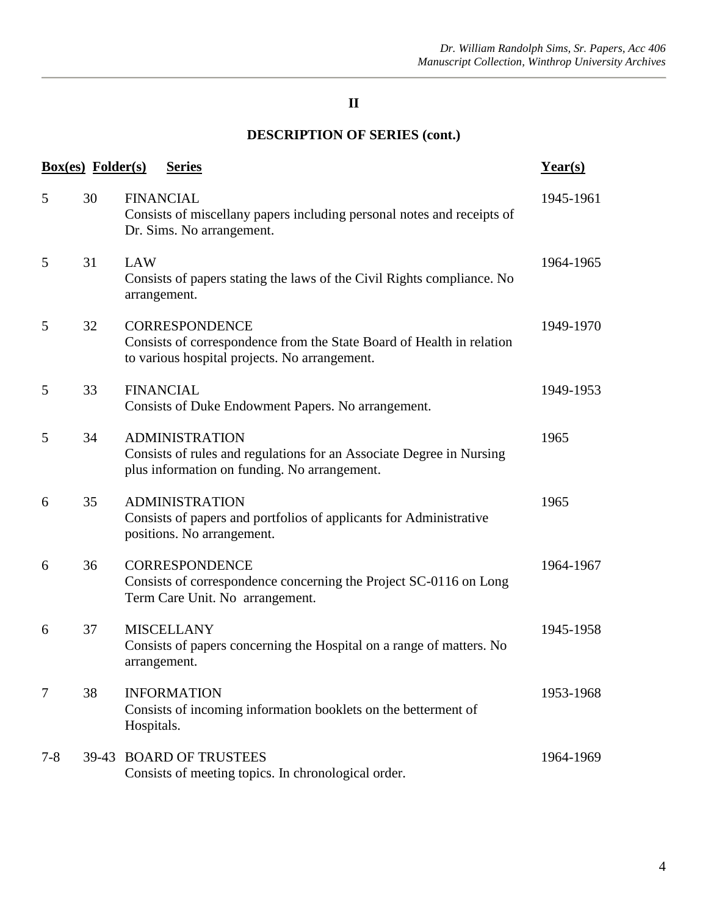## **II**

# **DESCRIPTION OF SERIES (cont.)**

|         | <b>Box(es)</b> Folder(s) | <b>Series</b>                                                                                                                                   | $Year(s)$ |
|---------|--------------------------|-------------------------------------------------------------------------------------------------------------------------------------------------|-----------|
| 5       | 30                       | <b>FINANCIAL</b><br>Consists of miscellany papers including personal notes and receipts of<br>Dr. Sims. No arrangement.                         | 1945-1961 |
| 5       | 31                       | LAW<br>Consists of papers stating the laws of the Civil Rights compliance. No<br>arrangement.                                                   | 1964-1965 |
| 5       | 32                       | <b>CORRESPONDENCE</b><br>Consists of correspondence from the State Board of Health in relation<br>to various hospital projects. No arrangement. | 1949-1970 |
| 5       | 33                       | <b>FINANCIAL</b><br>Consists of Duke Endowment Papers. No arrangement.                                                                          | 1949-1953 |
| 5       | 34                       | <b>ADMINISTRATION</b><br>Consists of rules and regulations for an Associate Degree in Nursing<br>plus information on funding. No arrangement.   | 1965      |
| 6       | 35                       | <b>ADMINISTRATION</b><br>Consists of papers and portfolios of applicants for Administrative<br>positions. No arrangement.                       | 1965      |
| 6       | 36                       | <b>CORRESPONDENCE</b><br>Consists of correspondence concerning the Project SC-0116 on Long<br>Term Care Unit. No arrangement.                   | 1964-1967 |
| 6       | 37                       | <b>MISCELLANY</b><br>Consists of papers concerning the Hospital on a range of matters. No<br>arrangement.                                       | 1945-1958 |
| 7       | 38                       | <b>INFORMATION</b><br>Consists of incoming information booklets on the betterment of<br>Hospitals.                                              | 1953-1968 |
| $7 - 8$ |                          | 39-43 BOARD OF TRUSTEES<br>Consists of meeting topics. In chronological order.                                                                  | 1964-1969 |